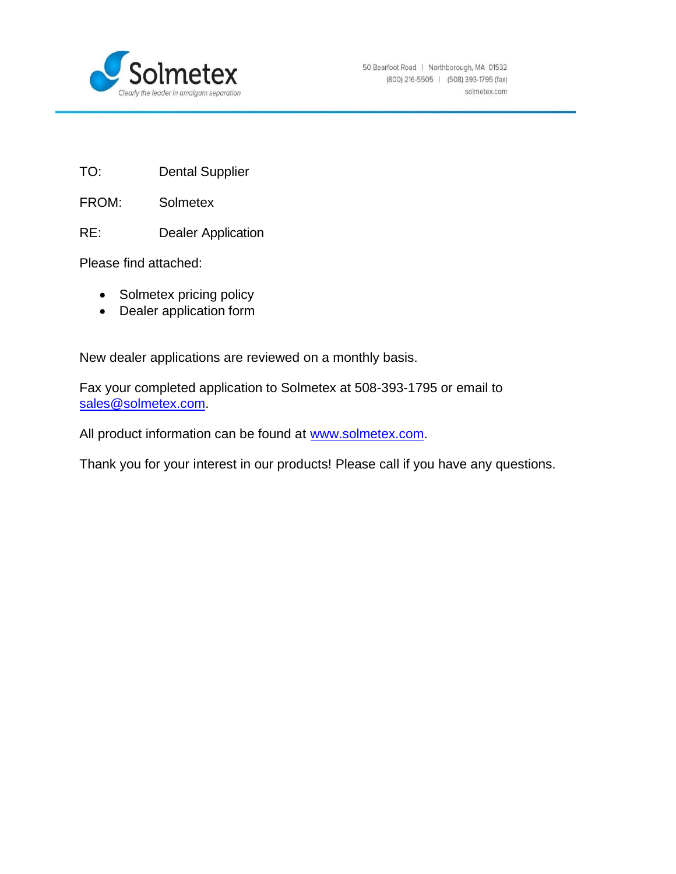

- TO: Dental Supplier
- FROM: Solmetex
- RE: Dealer Application

Please find attached:

- Solmetex pricing policy
- Dealer application form

New dealer applications are reviewed on a monthly basis.

Fax your completed application to Solmetex at 508-393-1795 or email to [sales@solmetex.com.](mailto:sales@solmetex.com)

All product information can be found at [www.solmetex.com.](http://www.solmetex.com/)

Thank you for your interest in our products! Please call if you have any questions.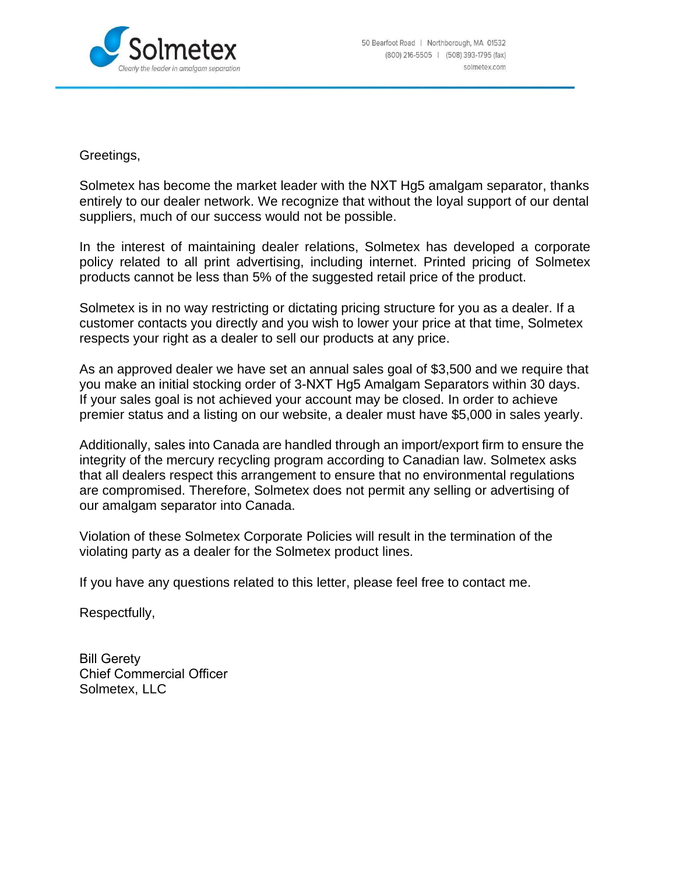

Greetings,

Solmetex has become the market leader with the NXT Hg5 amalgam separator, thanks entirely to our dealer network. We recognize that without the loyal support of our dental suppliers, much of our success would not be possible.

In the interest of maintaining dealer relations, Solmetex has developed a corporate policy related to all print advertising, including internet. Printed pricing of Solmetex products cannot be less than 5% of the suggested retail price of the product.

Solmetex is in no way restricting or dictating pricing structure for you as a dealer. If a customer contacts you directly and you wish to lower your price at that time, Solmetex respects your right as a dealer to sell our products at any price.

As an approved dealer we have set an annual sales goal of \$3,500 and we require that you make an initial stocking order of 3-NXT Hg5 Amalgam Separators within 30 days. If your sales goal is not achieved your account may be closed. In order to achieve premier status and a listing on our website, a dealer must have \$5,000 in sales yearly.

Additionally, sales into Canada are handled through an import/export firm to ensure the integrity of the mercury recycling program according to Canadian law. Solmetex asks that all dealers respect this arrangement to ensure that no environmental regulations are compromised. Therefore, Solmetex does not permit any selling or advertising of our amalgam separator into Canada.

Violation of these Solmetex Corporate Policies will result in the termination of the violating party as a dealer for the Solmetex product lines.

If you have any questions related to this letter, please feel free to contact me.

Respectfully,

Bill Gerety Chief Commercial Officer Solmetex, LLC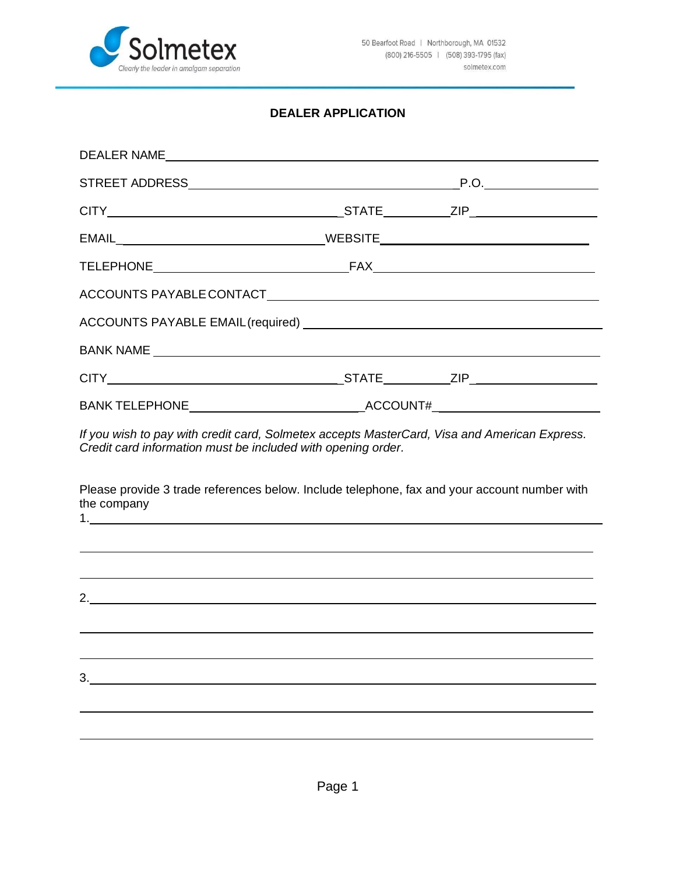

## **DEALER APPLICATION**

| DEALER NAME |  |
|-------------|--|
|             |  |
|             |  |
|             |  |
|             |  |
|             |  |
|             |  |
|             |  |
|             |  |
|             |  |

*If you wish to pay with credit card, Solmetex accepts MasterCard, Visa and American Express. Credit card information must be included with opening order.*

Please provide 3 trade references below. Include telephone, fax and your account number with the company 1.

| 3. |  |  |  |
|----|--|--|--|
|    |  |  |  |
|    |  |  |  |